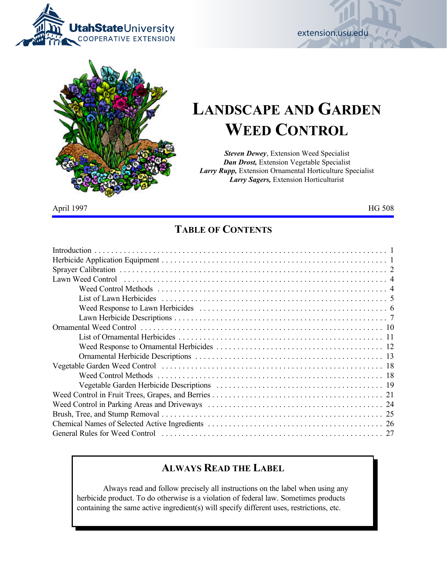



# **LANDSCAPE AND GARDEN WEED CONTROL**

extension.usu.edu

*Steven Dewey*, Extension Weed Specialist *Dan Drost,* Extension Vegetable Specialist *Larry Rupp,* Extension Ornamental Horticulture Specialist *Larry Sagers,* Extension Horticulturist

April 1997 https://www.marchive.org/windows/2010/2010 http://www.marchive.org/windows/2010

### **TABLE OF CONTENTS**

| Lawn Weed Control in the context of the control of the control of the control of the control of the control of |
|----------------------------------------------------------------------------------------------------------------|
|                                                                                                                |
|                                                                                                                |
|                                                                                                                |
|                                                                                                                |
|                                                                                                                |
|                                                                                                                |
|                                                                                                                |
|                                                                                                                |
|                                                                                                                |
|                                                                                                                |
|                                                                                                                |
|                                                                                                                |
|                                                                                                                |
|                                                                                                                |
|                                                                                                                |
| 27                                                                                                             |

### **ALWAYS READ THE LABEL**

Always read and follow precisely all instructions on the label when using any herbicide product. To do otherwise is a violation of federal law. Sometimes products containing the same active ingredient(s) will specify different uses, restrictions, etc.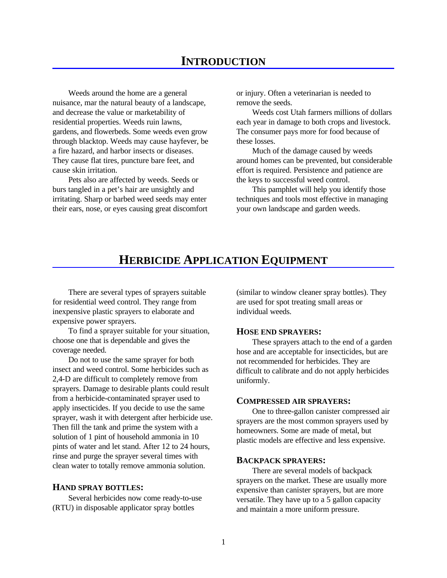Weeds around the home are a general or injury. Often a veterinarian is needed to nuisance, mar the natural beauty of a landscape, remove the seeds. and decrease the value or marketability of Weeds cost Utah farmers millions of dollars residential properties. Weeds ruin lawns, each year in damage to both crops and livestock. gardens, and flowerbeds. Some weeds even grow The consumer pays more for food because of through blacktop. Weeds may cause hayfever, be these losses. a fire hazard, and harbor insects or diseases. Much of the damage caused by weeds cause skin irritation. effort is required. Persistence and patience are

Pets also are affected by weeds. Seeds or the keys to successful weed control. burs tangled in a pet's hair are unsightly and This pamphlet will help you identify those irritating. Sharp or barbed weed seeds may enter techniques and tools most effective in managing their ears, nose, or eyes causing great discomfort your own landscape and garden weeds.

They cause flat tires, puncture bare feet, and around homes can be prevented, but considerable

### **HERBICIDE APPLICATION EQUIPMENT**

for residential weed control. They range from are used for spot treating small areas or inexpensive plastic sprayers to elaborate and individual weeds. expensive power sprayers.

To find a sprayer suitable for your situation, choose one that is dependable and gives the coverage needed.

Do not to use the same sprayer for both insect and weed control. Some herbicides such as 2,4-D are difficult to completely remove from sprayers. Damage to desirable plants could result from a herbicide-contaminated sprayer used to apply insecticides. If you decide to use the same sprayer, wash it with detergent after herbicide use. Then fill the tank and prime the system with a solution of 1 pint of household ammonia in 10 pints of water and let stand. After 12 to 24 hours, rinse and purge the sprayer several times with clean water to totally remove ammonia solution.

#### **HAND SPRAY BOTTLES:**

Several herbicides now come ready-to-use (RTU) in disposable applicator spray bottles

There are several types of sprayers suitable (similar to window cleaner spray bottles). They

#### **HOSE END SPRAYERS:**

These sprayers attach to the end of a garden hose and are acceptable for insecticides, but are not recommended for herbicides. They are difficult to calibrate and do not apply herbicides uniformly.

#### **COMPRESSED AIR SPRAYERS:**

One to three-gallon canister compressed air sprayers are the most common sprayers used by homeowners. Some are made of metal, but plastic models are effective and less expensive.

#### **BACKPACK SPRAYERS:**

There are several models of backpack sprayers on the market. These are usually more expensive than canister sprayers, but are more versatile. They have up to a 5 gallon capacity and maintain a more uniform pressure.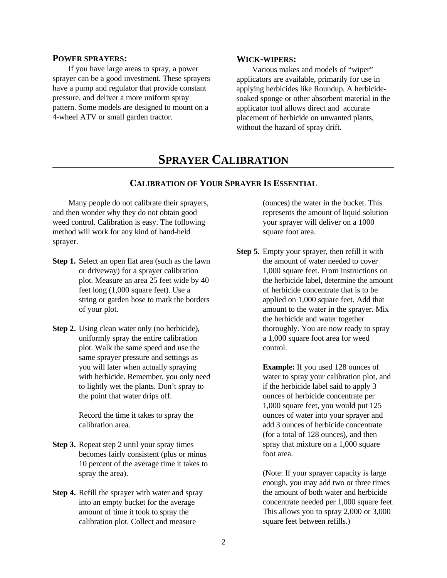#### **POWER SPRAYERS:**

If you have large areas to spray, a power sprayer can be a good investment. These sprayers have a pump and regulator that provide constant pressure, and deliver a more uniform spray pattern. Some models are designed to mount on a 4-wheel ATV or small garden tractor.

#### **WICK-WIPERS:**

Various makes and models of "wiper" applicators are available, primarily for use in applying herbicides like Roundup. A herbicidesoaked sponge or other absorbent material in the applicator tool allows direct and accurate placement of herbicide on unwanted plants, without the hazard of spray drift.

### **SPRAYER CALIBRATION**

#### **CALIBRATION OF YOUR SPRAYER IS ESSENTIAL**

Many people do not calibrate their sprayers, (ounces) the water in the bucket. This and then wonder why they do not obtain good represents the amount of liquid solution weed control. Calibration is easy. The following your sprayer will deliver on a 1000 method will work for any kind of hand-held square foot area. sprayer.

- 
- **Step 2.** Using clean water only (no herbicide), uniformly spray the entire calibration plot. Walk the same speed and use the same sprayer pressure and settings as you will later when actually spraying **Example:** If you used 128 ounces of with herbicide. Remember, you only need water to spray your calibration plot, and to lightly wet the plants. Don't spray to if the herbicide label said to apply 3 the point that water drips off. ounces of herbicide concentrate per

- **Step 3.** Repeat step 2 until your spray times becomes fairly consistent (plus or minus 10 percent of the average time it takes to spray the area).
- **Step 4.** Refill the sprayer with water and spray into an empty bucket for the average amount of time it took to spray the calibration plot. Collect and measure

**Step 1.** Select an open flat area (such as the lawn the amount of water needed to cover or driveway) for a sprayer calibration 1,000 square feet. From instructions on plot. Measure an area 25 feet wide by 40 the herbicide label, determine the amount feet long (1,000 square feet). Use a of herbicide concentrate that is to be string or garden hose to mark the borders applied on 1,000 square feet. Add that of your plot. amount to the water in the sprayer. Mix **Step 5.** Empty your sprayer, then refill it with the herbicide and water together thoroughly. You are now ready to spray a 1,000 square foot area for weed control.

1,000 square feet, you would put 125 Record the time it takes to spray the ounces of water into your sprayer and calibration area.  $\qquad \qquad \text{add 3 ounces of herbicide concentrate}$ (for a total of 128 ounces), and then spray that mixture on a 1,000 square foot area.

> (Note: If your sprayer capacity is large enough, you may add two or three times the amount of both water and herbicide concentrate needed per 1,000 square feet. This allows you to spray 2,000 or 3,000 square feet between refills.)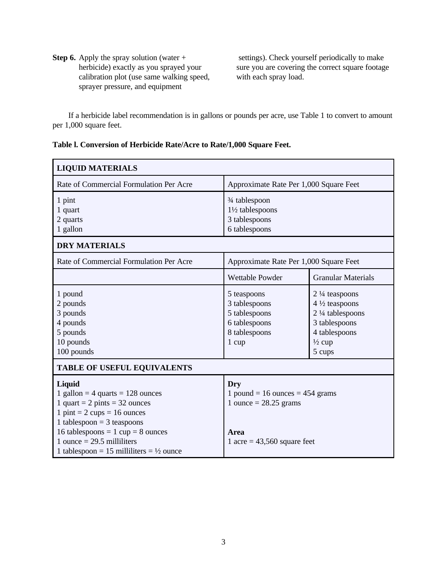**Step 6.** Apply the spray solution (water + herbicide) exactly as you sprayed your calibration plot (use same walking speed, sprayer pressure, and equipment

 settings). Check yourself periodically to make sure you are covering the correct square footage with each spray load.

If a herbicide label recommendation is in gallons or pounds per acre, use Table 1 to convert to amount per 1,000 square feet.

| Table I. Conversion of Herbicide Rate/Acre to Rate/1,000 Square Feet. |  |
|-----------------------------------------------------------------------|--|
|-----------------------------------------------------------------------|--|

| <b>LIQUID MATERIALS</b>                                                                                                                                                                                                       |                                                                                                    |                                                                                                                                                     |  |  |  |
|-------------------------------------------------------------------------------------------------------------------------------------------------------------------------------------------------------------------------------|----------------------------------------------------------------------------------------------------|-----------------------------------------------------------------------------------------------------------------------------------------------------|--|--|--|
| Rate of Commercial Formulation Per Acre                                                                                                                                                                                       | Approximate Rate Per 1,000 Square Feet                                                             |                                                                                                                                                     |  |  |  |
| 1 pint<br>1 quart<br>2 quarts<br>1 gallon                                                                                                                                                                                     | 3⁄4 tablespoon<br>1½ tablespoons<br>3 tablespoons<br>6 tablespoons                                 |                                                                                                                                                     |  |  |  |
| <b>DRY MATERIALS</b>                                                                                                                                                                                                          |                                                                                                    |                                                                                                                                                     |  |  |  |
| Rate of Commercial Formulation Per Acre                                                                                                                                                                                       | Approximate Rate Per 1,000 Square Feet                                                             |                                                                                                                                                     |  |  |  |
|                                                                                                                                                                                                                               | <b>Wettable Powder</b>                                                                             | <b>Granular Materials</b>                                                                                                                           |  |  |  |
| 1 pound<br>2 pounds<br>3 pounds<br>4 pounds<br>5 pounds<br>10 pounds<br>100 pounds                                                                                                                                            | 5 teaspoons<br>3 tablespoons<br>5 tablespoons<br>6 tablespoons<br>8 tablespoons<br>$1 \text{ cup}$ | $2\frac{1}{4}$ teaspoons<br>$4\frac{1}{2}$ teaspoons<br>$2\frac{1}{4}$ tablespoons<br>3 tablespoons<br>4 tablespoons<br>$\frac{1}{2}$ cup<br>5 cups |  |  |  |
| <b>TABLE OF USEFUL EQUIVALENTS</b>                                                                                                                                                                                            |                                                                                                    |                                                                                                                                                     |  |  |  |
| Liquid<br>1 gallon = 4 quarts = $128$ ounces<br>1 quart = $2 \text{ pints} = 32 \text{ ounces}$<br>$1 \text{ pint} = 2 \text{ cups} = 16 \text{ ounces}$<br>1 tablespoon = $3$ teaspoons<br>16 tablespoons = 1 cup = 8 ounces | Dry<br>1 pound = 16 ounces = $454$ grams<br>1 ounce $= 28.25$ grams<br>Area                        |                                                                                                                                                     |  |  |  |
| 1 ounce $= 29.5$ milliliters<br>1 tablespoon = 15 milliliters = $\frac{1}{2}$ ounce                                                                                                                                           | 1 acre = $43,560$ square feet                                                                      |                                                                                                                                                     |  |  |  |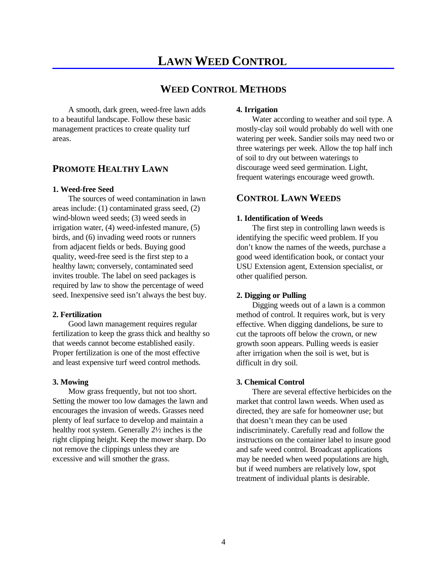### **LAWN WEED CONTROL**

### **WEED CONTROL METHODS**

A smooth, dark green, weed-free lawn adds to a beautiful landscape. Follow these basic management practices to create quality turf areas.

#### **PROMOTE HEALTHY LAWN**

#### **1. Weed-free Seed**

The sources of weed contamination in lawn areas include: (1) contaminated grass seed, (2) wind-blown weed seeds; (3) weed seeds in irrigation water, (4) weed-infested manure, (5) birds, and (6) invading weed roots or runners from adjacent fields or beds. Buying good quality, weed-free seed is the first step to a healthy lawn; conversely, contaminated seed invites trouble. The label on seed packages is required by law to show the percentage of weed seed. Inexpensive seed isn't always the best buy.

Good lawn management requires regular fertilization to keep the grass thick and healthy so that weeds cannot become established easily. Proper fertilization is one of the most effective and least expensive turf weed control methods.

#### **3. Mowing**

Mow grass frequently, but not too short. Setting the mower too low damages the lawn and encourages the invasion of weeds. Grasses need plenty of leaf surface to develop and maintain a healthy root system. Generally 2½ inches is the right clipping height. Keep the mower sharp. Do not remove the clippings unless they are excessive and will smother the grass.

#### **4. Irrigation**

Water according to weather and soil type. A mostly-clay soil would probably do well with one watering per week. Sandier soils may need two or three waterings per week. Allow the top half inch of soil to dry out between waterings to discourage weed seed germination. Light, frequent waterings encourage weed growth.

#### **CONTROL LAWN WEEDS**

#### **1. Identification of Weeds**

The first step in controlling lawn weeds is identifying the specific weed problem. If you don't know the names of the weeds, purchase a good weed identification book, or contact your USU Extension agent, Extension specialist, or other qualified person.

#### **2. Digging or Pulling**

**2. Fertilization 12. Fertilization 12. Fertilization method of control. It requires work, but is very** Digging weeds out of a lawn is a common effective. When digging dandelions, be sure to cut the taproots off below the crown, or new growth soon appears. Pulling weeds is easier after irrigation when the soil is wet, but is difficult in dry soil.

#### **3. Chemical Control**

There are several effective herbicides on the market that control lawn weeds. When used as directed, they are safe for homeowner use; but that doesn't mean they can be used indiscriminately. Carefully read and follow the instructions on the container label to insure good and safe weed control. Broadcast applications may be needed when weed populations are high, but if weed numbers are relatively low, spot treatment of individual plants is desirable.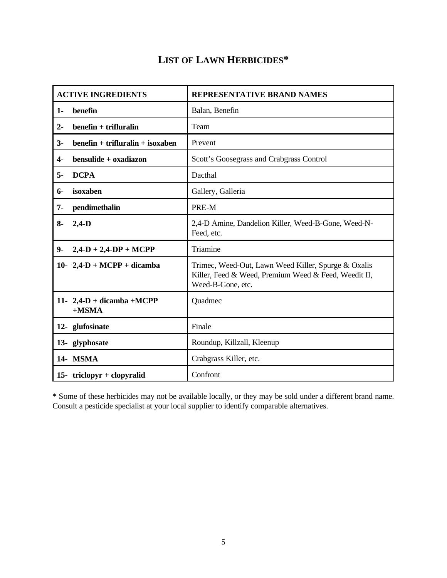### **LIST OF LAWN HERBICIDES\***

| <b>ACTIVE INGREDIENTS</b>  |                                     | <b>REPRESENTATIVE BRAND NAMES</b>                                                                                                |
|----------------------------|-------------------------------------|----------------------------------------------------------------------------------------------------------------------------------|
| benefin<br>$1 -$           |                                     | Balan, Benefin                                                                                                                   |
| $2 -$                      | $b$ enefin + trifluralin            | Team                                                                                                                             |
| $3-$                       | $b$ enefin + trifluralin + isoxaben | Prevent                                                                                                                          |
| $4-$                       | bensulide + oxadiazon               | Scott's Goosegrass and Crabgrass Control                                                                                         |
| <b>DCPA</b><br>$5-$        |                                     | Dacthal                                                                                                                          |
| isoxaben<br>$6-$           |                                     | Gallery, Galleria                                                                                                                |
| $7 -$<br>pendimethalin     |                                     | PRE-M                                                                                                                            |
| $8-$<br>$2,4-D$            |                                     | 2,4-D Amine, Dandelion Killer, Weed-B-Gone, Weed-N-<br>Feed, etc.                                                                |
| $9-$                       | $2,4-D + 2,4-DP + MCPP$             | Triamine                                                                                                                         |
|                            | 10- 2,4-D + MCPP + dicamba          | Trimec, Weed-Out, Lawn Weed Killer, Spurge & Oxalis<br>Killer, Feed & Weed, Premium Weed & Feed, Weedit II,<br>Weed-B-Gone, etc. |
| $+MSMA$                    | 11- 2,4-D + dicamba +MCPP           | Quadmec                                                                                                                          |
| 12- glufosinate            |                                     | Finale                                                                                                                           |
| 13- glyphosate             |                                     | Roundup, Killzall, Kleenup                                                                                                       |
| 14- MSMA                   |                                     | Crabgrass Killer, etc.                                                                                                           |
| 15- triclopyr + clopyralid |                                     | Confront                                                                                                                         |

\* Some of these herbicides may not be available locally, or they may be sold under a different brand name. Consult a pesticide specialist at your local supplier to identify comparable alternatives.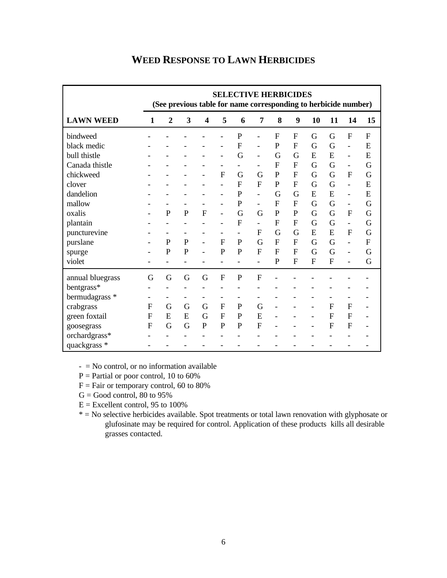|                  |                          |                |              |                |                          | <b>SELECTIVE HERBICIDES</b><br>(See previous table for name corresponding to herbicide number) |                          |                |                |              |                |                          |    |
|------------------|--------------------------|----------------|--------------|----------------|--------------------------|------------------------------------------------------------------------------------------------|--------------------------|----------------|----------------|--------------|----------------|--------------------------|----|
| <b>LAWN WEED</b> | 1                        | $\overline{2}$ | 3            | 4              | 5                        | 6                                                                                              | 7                        | 8              | 9              | 10           | 11             | 14                       | 15 |
| bindweed         |                          |                |              |                |                          | $\mathbf{P}$                                                                                   |                          | F              | $\mathbf{F}$   | G            | G              | $\mathbf F$              | F  |
| black medic      |                          |                |              |                |                          | F                                                                                              |                          | $\mathbf{P}$   | $\mathbf{F}$   | G            | G              | $\overline{a}$           | E  |
| bull thistle     |                          |                |              |                | $\overline{a}$           | G                                                                                              | $\overline{\phantom{a}}$ | G              | G              | E            | E              | $\overline{\phantom{a}}$ | E  |
| Canada thistle   |                          |                |              |                | $\overline{\phantom{0}}$ | -                                                                                              | -                        | F              | $\mathbf F$    | G            | G              | $\overline{\phantom{m}}$ | G  |
| chickweed        |                          |                |              |                | $\mathbf{F}$             | G                                                                                              | G                        | $\mathbf{P}$   | $\mathbf{F}$   | G            | G              | $\mathbf{F}$             | G  |
| clover           |                          |                |              |                |                          | F                                                                                              | $\overline{F}$           | $\mathbf{P}$   | F              | G            | G              | $\overline{a}$           | E  |
| dandelion        |                          |                |              |                | $\overline{\phantom{a}}$ | $\mathbf P$                                                                                    | $\overline{\phantom{a}}$ | G              | G              | E            | E              | $\overline{\phantom{a}}$ | E  |
| mallow           |                          |                |              |                | $\overline{a}$           | $\mathbf{P}$                                                                                   | $\blacksquare$           | F              | $\mathbf{F}$   | G            | G              | $\overline{\phantom{a}}$ | G  |
| oxalis           |                          | $\mathbf{P}$   | $\mathbf{P}$ | $\overline{F}$ | $\overline{a}$           | G                                                                                              | G                        | $\mathbf P$    | $\mathbf{P}$   | G            | G              | $\mathbf F$              | G  |
| plantain         |                          |                |              |                | $\overline{\phantom{0}}$ | F                                                                                              | $\blacksquare$           | F              | F              | G            | G              | $\overline{\phantom{0}}$ | G  |
| puncturevine     |                          |                |              |                | $\overline{\phantom{0}}$ | $\overline{a}$                                                                                 | $\overline{F}$           | G              | G              | E            | E              | F                        | G  |
| purslane         |                          | P              | $\mathbf{P}$ | $\overline{a}$ | F                        | $\mathbf{P}$                                                                                   | G                        | $\overline{F}$ | $\overline{F}$ | G            | G              | $\overline{a}$           | F  |
| spurge           |                          | $\overline{P}$ | $\mathbf{P}$ |                | $\overline{P}$           | $\overline{P}$                                                                                 | $\overline{F}$           | F              | $\mathbf{F}$   | G            | G              | $\overline{\phantom{a}}$ | G  |
| violet           | $\overline{\phantom{0}}$ |                |              |                | $\overline{a}$           | $\overline{a}$                                                                                 | $\overline{\phantom{0}}$ | $\mathbf{P}$   | F              | $\mathbf{F}$ | $\overline{F}$ | $\overline{a}$           | G  |
| annual bluegrass | G                        | G              | G            | G              | F                        | P                                                                                              | F                        |                |                |              |                |                          |    |
| bentgrass*       |                          |                |              |                |                          |                                                                                                |                          |                |                |              |                |                          |    |
| bermudagrass *   |                          |                |              |                | $\overline{a}$           |                                                                                                |                          |                |                |              |                |                          |    |
| crabgrass        | F                        | G              | G            | G              | F                        | P                                                                                              | G                        |                |                |              | F              | $\mathbf F$              |    |
| green foxtail    | F                        | E              | E            | G              | F                        | P                                                                                              | E                        |                |                |              | $\mathbf F$    | F                        |    |
| goosegrass       | F                        | G              | G            | P              | P                        | P                                                                                              | $\mathbf F$              |                |                |              | F              | $\mathbf F$              |    |
| orchardgrass*    |                          |                |              |                |                          |                                                                                                |                          |                |                |              |                |                          |    |
| quackgrass *     |                          |                |              |                |                          |                                                                                                |                          |                |                |              |                |                          |    |

### **WEED RESPONSE TO LAWN HERBICIDES**

 $-$  = No control, or no information available

 $P =$  Partial or poor control, 10 to 60%

- $F = \text{Fair}$  or temporary control, 60 to 80%
- $G = Good control, 80 to 95%$

 $E =$  Excellent control, 95 to 100%

\* = No selective herbicides available. Spot treatments or total lawn renovation with glyphosate or glufosinate may be required for control. Application of these products kills all desirable grasses contacted.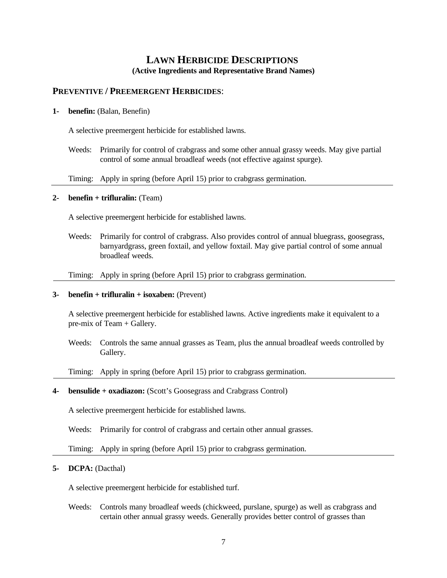### **LAWN HERBICIDE DESCRIPTIONS (Active Ingredients and Representative Brand Names)**

#### **PREVENTIVE / PREEMERGENT HERBICIDES**:

#### **1- benefin:** (Balan, Benefin)

A selective preemergent herbicide for established lawns.

Weeds: Primarily for control of crabgrass and some other annual grassy weeds. May give partial control of some annual broadleaf weeds (not effective against spurge).

Timing: Apply in spring (before April 15) prior to crabgrass germination.

#### **2- benefin + trifluralin:** (Team)

A selective preemergent herbicide for established lawns.

Weeds: Primarily for control of crabgrass. Also provides control of annual bluegrass, goosegrass, barnyardgrass, green foxtail, and yellow foxtail. May give partial control of some annual broadleaf weeds.

Timing: Apply in spring (before April 15) prior to crabgrass germination.

#### **3- benefin + trifluralin + isoxaben:** (Prevent)

 A selective preemergent herbicide for established lawns. Active ingredients make it equivalent to a pre-mix of Team + Gallery.

Weeds: Controls the same annual grasses as Team, plus the annual broadleaf weeds controlled by Gallery.

#### Timing: Apply in spring (before April 15) prior to crabgrass germination.

#### **4- bensulide + oxadiazon:** (Scott's Goosegrass and Crabgrass Control)

A selective preemergent herbicide for established lawns.

Weeds: Primarily for control of crabgrass and certain other annual grasses.

Timing: Apply in spring (before April 15) prior to crabgrass germination.

#### **5- DCPA:** (Dacthal)

A selective preemergent herbicide for established turf.

Weeds: Controls many broadleaf weeds (chickweed, purslane, spurge) as well as crabgrass and certain other annual grassy weeds. Generally provides better control of grasses than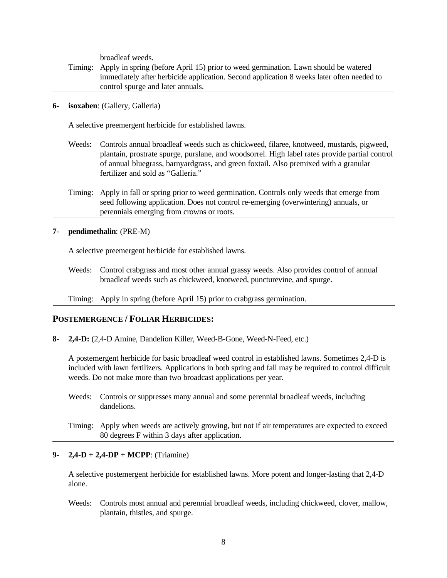broadleaf weeds.

- Timing: Apply in spring (before April 15) prior to weed germination. Lawn should be watered immediately after herbicide application. Second application 8 weeks later often needed to control spurge and later annuals.
- **6- isoxaben**: (Gallery, Galleria)

A selective preemergent herbicide for established lawns.

- Weeds: Controls annual broadleaf weeds such as chickweed, filaree, knotweed, mustards, pigweed, plantain, prostrate spurge, purslane, and woodsorrel. High label rates provide partial control of annual bluegrass, barnyardgrass, and green foxtail. Also premixed with a granular fertilizer and sold as "Galleria."
- Timing: Apply in fall or spring prior to weed germination. Controls only weeds that emerge from seed following application. Does not control re-emerging (overwintering) annuals, or perennials emerging from crowns or roots.

#### **7- pendimethalin**: (PRE-M)

A selective preemergent herbicide for established lawns.

Weeds: Control crabgrass and most other annual grassy weeds. Also provides control of annual broadleaf weeds such as chickweed, knotweed, puncturevine, and spurge.

Timing: Apply in spring (before April 15) prior to crabgrass germination.

#### **POSTEMERGENCE / FOLIAR HERBICIDES:**

**8- 2,4-D:** (2,4-D Amine, Dandelion Killer, Weed-B-Gone, Weed-N-Feed, etc.)

A postemergent herbicide for basic broadleaf weed control in established lawns. Sometimes 2,4-D is included with lawn fertilizers. Applications in both spring and fall may be required to control difficult weeds. Do not make more than two broadcast applications per year.

Weeds: Controls or suppresses many annual and some perennial broadleaf weeds, including dandelions.

#### **9- 2,4-D + 2,4-DP + MCPP**: (Triamine)

A selective postemergent herbicide for established lawns. More potent and longer-lasting that 2,4-D alone.

Weeds: Controls most annual and perennial broadleaf weeds, including chickweed, clover, mallow, plantain, thistles, and spurge.

Timing: Apply when weeds are actively growing, but not if air temperatures are expected to exceed 80 degrees F within 3 days after application.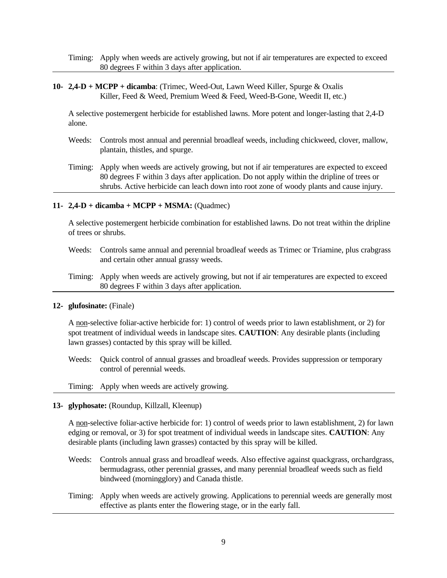Timing: Apply when weeds are actively growing, but not if air temperatures are expected to exceed 80 degrees F within 3 days after application.

**10- 2,4-D + MCPP + dicamba**: (Trimec, Weed-Out, Lawn Weed Killer, Spurge & Oxalis Killer, Feed & Weed, Premium Weed & Feed, Weed-B-Gone, Weedit II, etc.)

A selective postemergent herbicide for established lawns. More potent and longer-lasting that 2,4-D alone.

- Weeds: Controls most annual and perennial broadleaf weeds, including chickweed, clover, mallow, plantain, thistles, and spurge.
- Timing: Apply when weeds are actively growing, but not if air temperatures are expected to exceed 80 degrees F within 3 days after application. Do not apply within the dripline of trees or shrubs. Active herbicide can leach down into root zone of woody plants and cause injury.

#### **11- 2,4-D + dicamba + MCPP + MSMA:** (Quadmec)

A selective postemergent herbicide combination for established lawns. Do not treat within the dripline of trees or shrubs.

- Weeds: Controls same annual and perennial broadleaf weeds as Trimec or Triamine, plus crabgrass and certain other annual grassy weeds.
- Timing: Apply when weeds are actively growing, but not if air temperatures are expected to exceed 80 degrees F within 3 days after application.

#### **12- glufosinate:** (Finale)

 A non-selective foliar-active herbicide for: 1) control of weeds prior to lawn establishment, or 2) for spot treatment of individual weeds in landscape sites. **CAUTION**: Any desirable plants (including lawn grasses) contacted by this spray will be killed.

Weeds: Quick control of annual grasses and broadleaf weeds. Provides suppression or temporary control of perennial weeds.

Timing: Apply when weeds are actively growing.

#### **13- glyphosate:** (Roundup, Killzall, Kleenup)

 A non-selective foliar-active herbicide for: 1) control of weeds prior to lawn establishment, 2) for lawn edging or removal, or 3) for spot treatment of individual weeds in landscape sites. **CAUTION**: Any desirable plants (including lawn grasses) contacted by this spray will be killed.

- Weeds: Controls annual grass and broadleaf weeds. Also effective against quackgrass, orchardgrass, bermudagrass, other perennial grasses, and many perennial broadleaf weeds such as field bindweed (morningglory) and Canada thistle.
- Timing: Apply when weeds are actively growing. Applications to perennial weeds are generally most effective as plants enter the flowering stage, or in the early fall.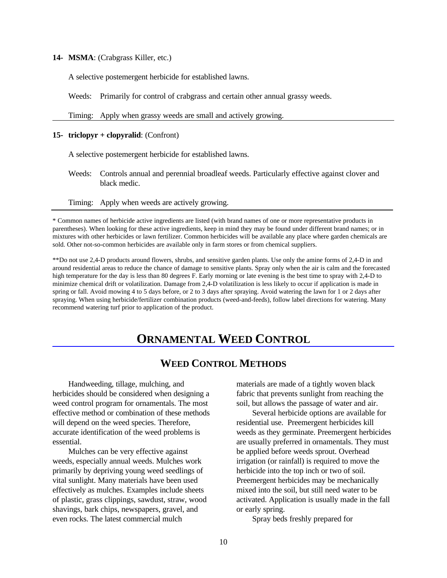#### **14- MSMA**: (Crabgrass Killer, etc.)

A selective postemergent herbicide for established lawns.

Weeds: Primarily for control of crabgrass and certain other annual grassy weeds.

Timing: Apply when grassy weeds are small and actively growing.

#### **15- triclopyr + clopyralid**: (Confront)

A selective postemergent herbicide for established lawns.

- Weeds: Controls annual and perennial broadleaf weeds. Particularly effective against clover and black medic.
- Timing: Apply when weeds are actively growing.

\* Common names of herbicide active ingredients are listed (with brand names of one or more representative products in parentheses). When looking for these active ingredients, keep in mind they may be found under different brand names; or in mixtures with other herbicides or lawn fertilizer. Common herbicides will be available any place where garden chemicals are sold. Other not-so-common herbicides are available only in farm stores or from chemical suppliers.

\*\*Do not use 2,4-D products around flowers, shrubs, and sensitive garden plants. Use only the amine forms of 2,4-D in and around residential areas to reduce the chance of damage to sensitive plants. Spray only when the air is calm and the forecasted high temperature for the day is less than 80 degrees F. Early morning or late evening is the best time to spray with 2,4-D to minimize chemical drift or volatilization. Damage from 2,4-D volatilization is less likely to occur if application is made in spring or fall. Avoid mowing 4 to 5 days before, or 2 to 3 days after spraying. Avoid watering the lawn for 1 or 2 days after spraying. When using herbicide/fertilizer combination products (weed-and-feeds), follow label directions for watering. Many recommend watering turf prior to application of the product.

### **ORNAMENTAL WEED CONTROL**

#### **WEED CONTROL METHODS**

herbicides should be considered when designing a fabric that prevents sunlight from reaching the weed control program for ornamentals. The most soil, but allows the passage of water and air. effective method or combination of these methods Several herbicide options are available for will depend on the weed species. Therefore, residential use. Preemergent herbicides kill accurate identification of the weed problems is weeds as they germinate. Preemergent herbicides essential. are usually preferred in ornamentals. They must

weeds, especially annual weeds. Mulches work irrigation (or rainfall) is required to move the primarily by depriving young weed seedlings of herbicide into the top inch or two of soil. vital sunlight. Many materials have been used Preemergent herbicides may be mechanically effectively as mulches. Examples include sheets mixed into the soil, but still need water to be shavings, bark chips, newspapers, gravel, and or early spring. even rocks. The latest commercial mulch Spray beds freshly prepared for

Handweeding, tillage, mulching, and materials are made of a tightly woven black

Mulches can be very effective against be applied before weeds sprout. Overhead of plastic, grass clippings, sawdust, straw, wood activated. Application is usually made in the fall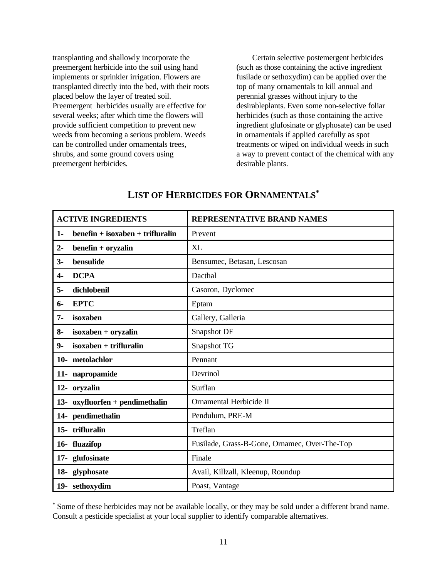transplanting and shallowly incorporate the Certain selective postemergent herbicides preemergent herbicide into the soil using hand (such as those containing the active ingredient implements or sprinkler irrigation. Flowers are fusilade or sethoxydim) can be applied over the transplanted directly into the bed, with their roots top of many ornamentals to kill annual and placed below the layer of treated soil. perennial grasses without injury to the Preemergent herbicides usually are effective for desirableplants. Even some non-selective foliar several weeks; after which time the flowers will herbicides (such as those containing the active provide sufficient competition to prevent new ingredient glufosinate or glyphosate) can be used weeds from becoming a serious problem. Weeds in ornamentals if applied carefully as spot can be controlled under ornamentals trees, treatments or wiped on individual weeds in such shrubs, and some ground covers using a way to prevent contact of the chemical with any preemergent herbicides. desirable plants.

| <b>ACTIVE INGREDIENTS</b>                   | <b>REPRESENTATIVE BRAND NAMES</b>             |
|---------------------------------------------|-----------------------------------------------|
| $b$ enefin + isoxaben + trifluralin<br>$1-$ | Prevent                                       |
| benefin + oryzalin<br>$2-$                  | XL                                            |
| bensulide<br>$3-$                           | Bensumec, Betasan, Lescosan                   |
| <b>DCPA</b><br>4-                           | Dacthal                                       |
| dichlobenil<br>5-                           | Casoron, Dyclomec                             |
| <b>EPTC</b><br>6-                           | Eptam                                         |
| isoxaben<br>7-                              | Gallery, Galleria                             |
| isoxaben + oryzalin<br>8-                   | Snapshot DF                                   |
| $isoxaben + trifluralin$<br>9-              | Snapshot TG                                   |
| 10- metolachlor                             | Pennant                                       |
| 11- napropamide                             | Devrinol                                      |
| 12- oryzalin                                | Surflan                                       |
| 13- oxyfluorfen + pendimethalin             | Ornamental Herbicide II                       |
| 14- pendimethalin                           | Pendulum, PRE-M                               |
| 15- trifluralin                             | Treflan                                       |
| 16- fluazifop                               | Fusilade, Grass-B-Gone, Ornamec, Over-The-Top |
| 17- glufosinate                             | Finale                                        |
| 18- glyphosate                              | Avail, Killzall, Kleenup, Roundup             |
| 19- sethoxydim                              | Poast, Vantage                                |

### **LIST OF HERBICIDES FOR ORNAMENTALS\***

 Some of these herbicides may not be available locally, or they may be sold under a different brand name. \* Consult a pesticide specialist at your local supplier to identify comparable alternatives.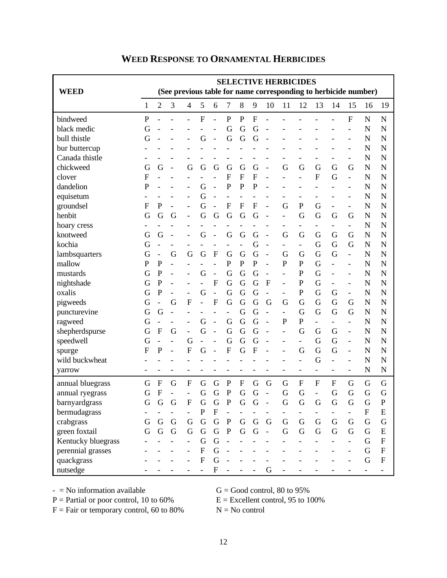| <b>WEED</b>        | <b>SELECTIVE HERBICIDES</b><br>(See previous table for name corresponding to herbicide number) |                |                |                          |                |                |                          |                |                |             |                          |                          |                          |                          |                          |                           |             |
|--------------------|------------------------------------------------------------------------------------------------|----------------|----------------|--------------------------|----------------|----------------|--------------------------|----------------|----------------|-------------|--------------------------|--------------------------|--------------------------|--------------------------|--------------------------|---------------------------|-------------|
|                    | 1                                                                                              | 2              | 3              | 4                        | 5              | 6              | 7                        | 8              | 9              | 10          | 11                       | 12                       | 13                       | 14                       | 15                       | 16                        | 19          |
| bindweed           | $\mathbf{P}$                                                                                   |                |                |                          | $\mathbf F$    |                | $\mathbf{P}$             | $\mathbf P$    | $\mathbf F$    |             |                          |                          |                          |                          | $\mathbf F$              | $\mathbf N$               | $\mathbf N$ |
| black medic        | G                                                                                              |                |                |                          |                |                | G                        | G              | G              |             |                          |                          |                          |                          |                          | N                         | N           |
| bull thistle       | G                                                                                              |                |                |                          | G              |                | G                        | G              | G              |             |                          |                          |                          |                          |                          | N                         | N           |
| bur buttercup      |                                                                                                |                |                |                          |                |                |                          |                |                |             |                          |                          |                          |                          |                          | N                         | N           |
| Canada thistle     |                                                                                                |                |                |                          |                |                |                          |                |                |             |                          |                          |                          |                          |                          | N                         | N           |
| chickweed          | G                                                                                              | G              |                | G                        | G              | G              | G                        | G              | G              |             | G                        | G                        | G                        | G                        | G                        | N                         | N           |
| clover             | $\mathbf{F}$                                                                                   |                |                |                          |                |                | $\overline{F}$           | $\mathbf{F}$   | $\overline{F}$ |             |                          |                          | $\overline{F}$           | G                        |                          | N                         | N           |
| dandelion          | $\mathbf P$                                                                                    |                |                |                          | G              |                | ${\bf P}$                | $\mathbf{P}$   | $\mathbf P$    |             |                          |                          |                          |                          |                          | N                         | N           |
| equisetum          |                                                                                                |                |                |                          | G              | L,             | $\overline{\phantom{a}}$ | $\overline{a}$ |                |             |                          |                          |                          |                          |                          | N                         | N           |
| groundsel          | F                                                                                              | $\mathbf{P}$   | $\overline{a}$ |                          | G              |                | $\mathbf F$              | $\overline{F}$ | $\overline{F}$ |             | G                        | ${\bf P}$                | G                        | $\overline{\phantom{a}}$ | $\overline{\phantom{a}}$ | N                         | N           |
| henbit             | G                                                                                              | G              | G              | $\overline{\phantom{a}}$ | G              | G              | G                        | G              | G              |             |                          | G                        | G                        | G                        | G                        | N                         | N           |
| hoary cress        |                                                                                                |                |                |                          |                |                |                          |                |                |             |                          |                          |                          |                          |                          | N                         | N           |
| knotweed           | G                                                                                              | G              |                |                          | G              |                | G                        | G              | G              |             | G                        | G                        | G                        | G                        | G                        | N                         | N           |
| kochia             | G                                                                                              |                |                |                          |                |                |                          |                | G              |             | $\overline{\phantom{a}}$ | $\overline{\phantom{0}}$ | G                        | G                        | G                        | N                         | N           |
| lambsquarters      | G                                                                                              |                | G              | G                        | G              | $\mathbf F$    | G                        | G              | G              |             | G                        | G                        | G                        | G                        | $\overline{\phantom{a}}$ | N                         | N           |
| mallow             | P                                                                                              | ${\bf P}$      | $\overline{a}$ |                          |                |                | $\mathbf P$              | $\overline{P}$ | $\mathbf{P}$   |             | $\mathbf P$              | $\mathbf P$              | G                        |                          |                          | N                         | N           |
| mustards           | G                                                                                              | $\mathbf{P}$   |                |                          | G              | L,             | G                        | G              | G              |             |                          | $\mathbf P$              | G                        |                          |                          | N                         | N           |
| nightshade         | G                                                                                              | $\mathbf P$    | L,             |                          |                | $\mathbf F$    | G                        | G              | G              | $\mathbf F$ | $\overline{\phantom{a}}$ | $\mathbf P$              | G                        | $\overline{\phantom{a}}$ | $\blacksquare$           | N                         | N           |
| oxalis             | G                                                                                              | $\mathbf P$    |                |                          | G              | $\overline{a}$ | G                        | G              | G              |             | $\overline{\phantom{a}}$ | ${\bf P}$                | G                        | G                        | $\overline{\phantom{a}}$ | N                         | N           |
| pigweeds           | G                                                                                              |                | G              | $\mathbf F$              |                | F              | G                        | G              | G              | G           | G                        | G                        | G                        | G                        | G                        | N                         | N           |
| puncturevine       | G                                                                                              | G              | $\overline{a}$ |                          |                |                |                          | G              | G              |             | $\overline{\phantom{a}}$ | G                        | G                        | G                        | G                        | N                         | N           |
| ragweed            | G                                                                                              |                |                |                          | G              |                | G                        | G              | G              |             | $\mathbf{P}$             | ${\bf P}$                | $\overline{\phantom{0}}$ |                          |                          | N                         | N           |
| shepherdspurse     | G                                                                                              | $\mathbf F$    | G              | $\overline{\phantom{a}}$ | G              | $\overline{a}$ | G                        | G              | G              |             |                          | G                        | G                        | G                        | $\overline{\phantom{a}}$ | N                         | N           |
| speedwell          | G                                                                                              |                |                | G                        |                |                | G                        | G              | G              |             |                          | $\overline{\phantom{0}}$ | G                        | G                        |                          | N                         | N           |
| spurge             | $\mathbf{F}$                                                                                   | $\mathbf P$    |                | $\overline{F}$           | G              |                | $\mathbf F$              | G              | $\overline{F}$ |             |                          | G                        | G                        | G                        |                          | N                         | N           |
| wild buckwheat     |                                                                                                |                |                |                          |                |                |                          |                |                |             |                          |                          | G                        |                          |                          | N                         | N           |
| yarrow             |                                                                                                |                |                |                          |                |                |                          |                |                |             |                          | $\overline{\phantom{0}}$ |                          |                          |                          | N                         | N           |
| annual bluegrass   | G                                                                                              | $\mathbf{F}$   | G              | $\mathbf{F}$             | G              | G              | $\mathbf{P}$             | $\mathbf{F}$   | G              | G           | G                        | $\mathbf{F}$             | $\mathbf{F}$             | F                        | G                        | G                         | G           |
| annual ryegrass    | G                                                                                              | $\overline{F}$ |                |                          | G              | G              | $\mathbf P$              | G              | G              |             | G                        | G                        |                          | G                        | G                        | G                         | G           |
| barnyardgrass      | G                                                                                              | G              | G              | F                        | G              | G              | P                        | G              | G              |             | G                        | G                        | G                        | G                        | G                        | G                         | P           |
| bermudagrass       |                                                                                                |                |                |                          | $\mathbf P$    | F              | $\overline{\phantom{a}}$ |                |                |             |                          |                          |                          |                          |                          | $\boldsymbol{\mathrm{F}}$ | ${\bf E}$   |
| crabgrass          | $\mathbf G$                                                                                    | $\mathbf G$    | ${\bf G}$      | ${\bf G}$                | ${\bf G}$      | ${\bf G}$      | $\, {\bf P}$             | ${\bf G}$      | ${\bf G}$      | $\mathbf G$ | $\mathbf G$              | ${\bf G}$                | $\mathbf G$              | ${\bf G}$                | G                        | ${\bf G}$                 | G           |
| green foxtail      | G                                                                                              | G              | ${\bf G}$      | ${\bf G}$                | ${\bf G}$      | ${\bf G}$      | ${\bf P}$                | $\mathbf G$    | ${\bf G}$      |             | G                        | $\mathbf G$              | $\overline{G}$           | $\mathbf G$              | G                        | $\mathbf G$               | ${\bf E}$   |
| Kentucky bluegrass |                                                                                                |                |                |                          | G              | ${\bf G}$      |                          |                |                |             |                          |                          |                          |                          |                          | G                         | ${\bf F}$   |
| perennial grasses  |                                                                                                |                |                |                          | ${\bf F}$      | G              |                          |                |                |             |                          |                          |                          |                          |                          | G                         | ${\bf F}$   |
| quackgrass         |                                                                                                |                |                |                          | ${\bf F}$      | G              |                          |                |                |             |                          |                          |                          |                          |                          | $\mathbf G$               | ${\bf F}$   |
| nutsedge           |                                                                                                |                |                |                          | $\overline{a}$ | ${\bf F}$      |                          |                |                | G           |                          |                          |                          |                          |                          |                           |             |

### **WEED RESPONSE TO ORNAMENTAL HERBICIDES**

 $-S = No$  information available G = Good control, 80 to 95%

 $P =$  Partial or poor control, 10 to 60%  $E =$  Excellent control, 95 to 100%

 $F = Fair$  or temporary control, 60 to 80%  $N = No$  control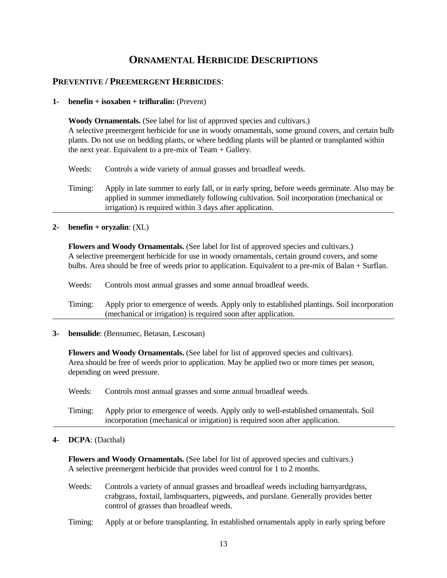### **ORNAMENTAL HERBICIDE DESCRIPTIONS**

#### **PREVENTIVE / PREEMERGENT HERBICIDES**:

#### **1- benefin + isoxaben + trifluralin:** (Prevent)

 **Woody Ornamentals.** (See label for list of approved species and cultivars.) A selective preemergent herbicide for use in woody ornamentals, some ground covers, and certain bulb plants. Do not use on bedding plants, or where bedding plants will be planted or transplanted within the next year. Equivalent to a pre-mix of Team + Gallery.

Weeds: Controls a wide variety of annual grasses and broadleaf weeds.

Timing: Apply in late summer to early fall, or in early spring, before weeds germinate. Also may be applied in summer immediately following cultivation. Soil incorporation (mechanical or irrigation) is required within 3 days after application.

**2- benefin + oryzalin**: (XL)

 **Flowers and Woody Ornamentals.** (See label for list of approved species and cultivars.) A selective preemergent herbicide for use in woody ornamentals, certain ground covers, and some bulbs. Area should be free of weeds prior to application. Equivalent to a pre-mix of Balan + Surflan.

Weeds: Controls most annual grasses and some annual broadleaf weeds.

Timing: Apply prior to emergence of weeds. Apply only to established plantings. Soil incorporation (mechanical or irrigation) is required soon after application.

**3- bensulide**: (Bensumec, Betasan, Lescosan)

 **Flowers and Woody Ornamentals.** (See label for list of approved species and cultivars). Area should be free of weeds prior to application. May be applied two or more times per season, depending on weed pressure.

Weeds: Controls most annual grasses and some annual broadleaf weeds.

Timing: Apply prior to emergence of weeds. Apply only to well-established ornamentals. Soil incorporation (mechanical or irrigation) is required soon after application.

#### **4- DCPA**: (Dacthal)

 **Flowers and Woody Ornamentals.** (See label for list of approved species and cultivars.) A selective preemergent herbicide that provides weed control for 1 to 2 months.

Weeds: Controls a variety of annual grasses and broadleaf weeds including barnyardgrass, crabgrass, foxtail, lambsquarters, pigweeds, and purslane. Generally provides better control of grasses than broadleaf weeds.

Timing: Apply at or before transplanting. In established ornamentals apply in early spring before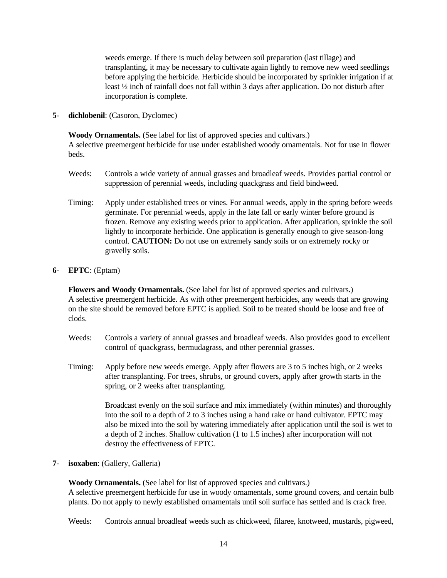weeds emerge. If there is much delay between soil preparation (last tillage) and transplanting, it may be necessary to cultivate again lightly to remove new weed seedlings before applying the herbicide. Herbicide should be incorporated by sprinkler irrigation if at least ½ inch of rainfall does not fall within 3 days after application. Do not disturb after incorporation is complete.

**5- dichlobenil**: (Casoron, Dyclomec)

 **Woody Ornamentals.** (See label for list of approved species and cultivars.) A selective preemergent herbicide for use under established woody ornamentals. Not for use in flower beds.

- Weeds: Controls a wide variety of annual grasses and broadleaf weeds. Provides partial control or suppression of perennial weeds, including quackgrass and field bindweed.
- Timing: Apply under established trees or vines. For annual weeds, apply in the spring before weeds germinate. For perennial weeds, apply in the late fall or early winter before ground is frozen. Remove any existing weeds prior to application. After application, sprinkle the soil lightly to incorporate herbicide. One application is generally enough to give season-long control. **CAUTION:** Do not use on extremely sandy soils or on extremely rocky or gravelly soils.

#### **6- EPTC**: (Eptam)

 **Flowers and Woody Ornamentals.** (See label for list of approved species and cultivars.) A selective preemergent herbicide. As with other preemergent herbicides, any weeds that are growing on the site should be removed before EPTC is applied. Soil to be treated should be loose and free of clods.

- Weeds: Controls a variety of annual grasses and broadleaf weeds. Also provides good to excellent control of quackgrass, bermudagrass, and other perennial grasses.
- Timing: Apply before new weeds emerge. Apply after flowers are 3 to 5 inches high, or 2 weeks after transplanting. For trees, shrubs, or ground covers, apply after growth starts in the spring, or 2 weeks after transplanting.

Broadcast evenly on the soil surface and mix immediately (within minutes) and thoroughly into the soil to a depth of 2 to 3 inches using a hand rake or hand cultivator. EPTC may also be mixed into the soil by watering immediately after application until the soil is wet to a depth of 2 inches. Shallow cultivation (1 to 1.5 inches) after incorporation will not destroy the effectiveness of EPTC.

**7- isoxaben**: (Gallery, Galleria)

 **Woody Ornamentals.** (See label for list of approved species and cultivars.) A selective preemergent herbicide for use in woody ornamentals, some ground covers, and certain bulb plants. Do not apply to newly established ornamentals until soil surface has settled and is crack free.

Weeds: Controls annual broadleaf weeds such as chickweed, filaree, knotweed, mustards, pigweed,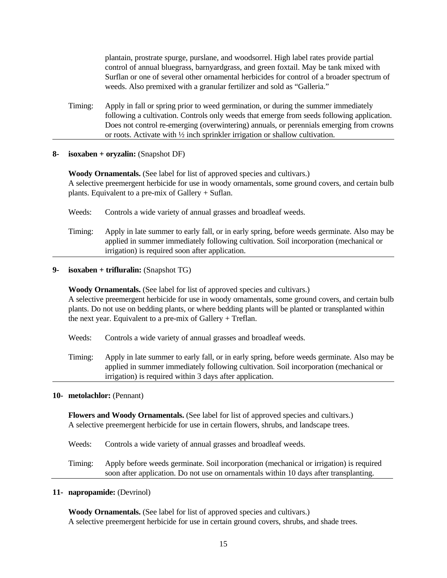plantain, prostrate spurge, purslane, and woodsorrel. High label rates provide partial control of annual bluegrass, barnyardgrass, and green foxtail. May be tank mixed with Surflan or one of several other ornamental herbicides for control of a broader spectrum of weeds. Also premixed with a granular fertilizer and sold as "Galleria."

Timing: Apply in fall or spring prior to weed germination, or during the summer immediately following a cultivation. Controls only weeds that emerge from seeds following application. Does not control re-emerging (overwintering) annuals, or perennials emerging from crowns or roots. Activate with ½ inch sprinkler irrigation or shallow cultivation.

#### **8- isoxaben + oryzalin:** (Snapshot DF)

 **Woody Ornamentals.** (See label for list of approved species and cultivars.) A selective preemergent herbicide for use in woody ornamentals, some ground covers, and certain bulb plants. Equivalent to a pre-mix of Gallery + Suflan.

Weeds: Controls a wide variety of annual grasses and broadleaf weeds.

Timing: Apply in late summer to early fall, or in early spring, before weeds germinate. Also may be applied in summer immediately following cultivation. Soil incorporation (mechanical or irrigation) is required soon after application.

#### **9- isoxaben + trifluralin:** (Snapshot TG)

 **Woody Ornamentals.** (See label for list of approved species and cultivars.) A selective preemergent herbicide for use in woody ornamentals, some ground covers, and certain bulb plants. Do not use on bedding plants, or where bedding plants will be planted or transplanted within the next year. Equivalent to a pre-mix of Gallery + Treflan.

- Weeds: Controls a wide variety of annual grasses and broadleaf weeds.
- Timing: Apply in late summer to early fall, or in early spring, before weeds germinate. Also may be applied in summer immediately following cultivation. Soil incorporation (mechanical or irrigation) is required within 3 days after application.

#### **10- metolachlor:** (Pennant)

 **Flowers and Woody Ornamentals.** (See label for list of approved species and cultivars.) A selective preemergent herbicide for use in certain flowers, shrubs, and landscape trees.

Weeds: Controls a wide variety of annual grasses and broadleaf weeds.

Timing: Apply before weeds germinate. Soil incorporation (mechanical or irrigation) is required soon after application. Do not use on ornamentals within 10 days after transplanting.

**11- napropamide:** (Devrinol)

 **Woody Ornamentals.** (See label for list of approved species and cultivars.) A selective preemergent herbicide for use in certain ground covers, shrubs, and shade trees.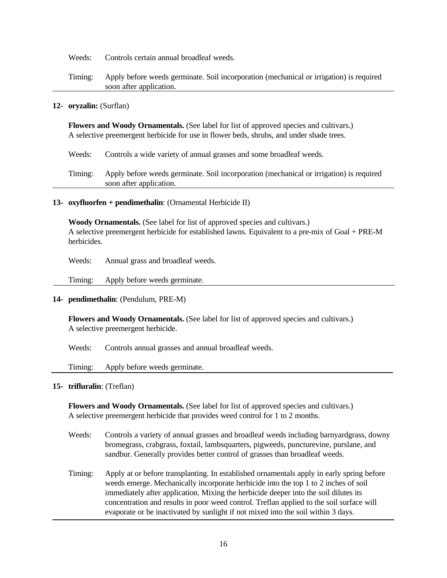Weeds: Controls certain annual broadleaf weeds.

Timing: Apply before weeds germinate. Soil incorporation (mechanical or irrigation) is required soon after application.

#### **12- oryzalin:** (Surflan)

 **Flowers and Woody Ornamentals.** (See label for list of approved species and cultivars.) A selective preemergent herbicide for use in flower beds, shrubs, and under shade trees.

Weeds: Controls a wide variety of annual grasses and some broadleaf weeds.

Timing: Apply before weeds germinate. Soil incorporation (mechanical or irrigation) is required soon after application.

#### **13- oxyfluorfen + pendimethalin**: (Ornamental Herbicide II)

 **Woody Ornamentals.** (See label for list of approved species and cultivars.) A selective preemergent herbicide for established lawns. Equivalent to a pre-mix of Goal + PRE-M herbicides.

Weeds: Annual grass and broadleaf weeds.

Timing: Apply before weeds germinate.

#### **14- pendimethalin**: (Pendulum, PRE-M)

 **Flowers and Woody Ornamentals.** (See label for list of approved species and cultivars.) A selective preemergent herbicide.

Weeds: Controls annual grasses and annual broadleaf weeds.

Timing: Apply before weeds germinate.

#### **15- trifluralin**: (Treflan)

 **Flowers and Woody Ornamentals.** (See label for list of approved species and cultivars.) A selective preemergent herbicide that provides weed control for 1 to 2 months.

- Weeds: Controls a variety of annual grasses and broadleaf weeds including barnyardgrass, downy bromegrass, crabgrass, foxtail, lambsquarters, pigweeds, puncturevine, purslane, and sandbur. Generally provides better control of grasses than broadleaf weeds.
- Timing: Apply at or before transplanting. In established ornamentals apply in early spring before weeds emerge. Mechanically incorporate herbicide into the top 1 to 2 inches of soil immediately after application. Mixing the herbicide deeper into the soil dilutes its concentration and results in poor weed control. Treflan applied to the soil surface will evaporate or be inactivated by sunlight if not mixed into the soil within 3 days.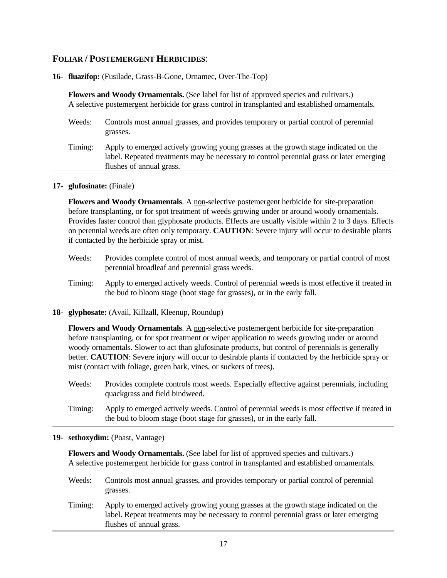#### **FOLIAR / POSTEMERGENT HERBICIDES**:

#### **16- fluazifop:** (Fusilade, Grass-B-Gone, Ornamec, Over-The-Top)

|         | <b>Flowers and Woody Ornamentals.</b> (See label for list of approved species and cultivars.)<br>A selective postemergent herbicide for grass control in transplanted and established ornamentals.           |
|---------|--------------------------------------------------------------------------------------------------------------------------------------------------------------------------------------------------------------|
| Weeds:  | Controls most annual grasses, and provides temporary or partial control of perennial<br>grasses.                                                                                                             |
| Timing: | Apply to emerged actively growing young grasses at the growth stage indicated on the<br>label. Repeated treatments may be necessary to control perennial grass or later emerging<br>flushes of annual grass. |

#### **17- glufosinate:** (Finale)

**Flowers and Woody Ornamentals**. A non-selective postemergent herbicide for site-preparation before transplanting, or for spot treatment of weeds growing under or around woody ornamentals. Provides faster control than glyphosate products. Effects are usually visible within 2 to 3 days. Effects on perennial weeds are often only temporary. **CAUTION**: Severe injury will occur to desirable plants if contacted by the herbicide spray or mist.

| Weeds:  | Provides complete control of most annual weeds, and temporary or partial control of most<br>perennial broadleaf and perennial grass weeds.                            |
|---------|-----------------------------------------------------------------------------------------------------------------------------------------------------------------------|
| Timing: | Apply to emerged actively weeds. Control of perennial weeds is most effective if treated in<br>the bud to bloom stage (boot stage for grasses), or in the early fall. |

#### **18- glyphosate:** (Avail, Killzall, Kleenup, Roundup)

**Flowers and Woody Ornamentals**. A non-selective postemergent herbicide for site-preparation before transplanting, or for spot treatment or wiper application to weeds growing under or around woody ornamentals. Slower to act than glufosinate products, but control of perennials is generally better. **CAUTION**: Severe injury will occur to desirable plants if contacted by the herbicide spray or mist (contact with foliage, green bark, vines, or suckers of trees).

- Weeds: Provides complete controls most weeds. Especially effective against perennials, including quackgrass and field bindweed.
- Timing: Apply to emerged actively weeds. Control of perennial weeds is most effective if treated in the bud to bloom stage (boot stage for grasses), or in the early fall.

#### **19- sethoxydim:** (Poast, Vantage)

**Flowers and Woody Ornamentals.** (See label for list of approved species and cultivars.) A selective postemergent herbicide for grass control in transplanted and established ornamentals.

- Weeds: Controls most annual grasses, and provides temporary or partial control of perennial grasses.
- Timing: Apply to emerged actively growing young grasses at the growth stage indicated on the label. Repeat treatments may be necessary to control perennial grass or later emerging flushes of annual grass.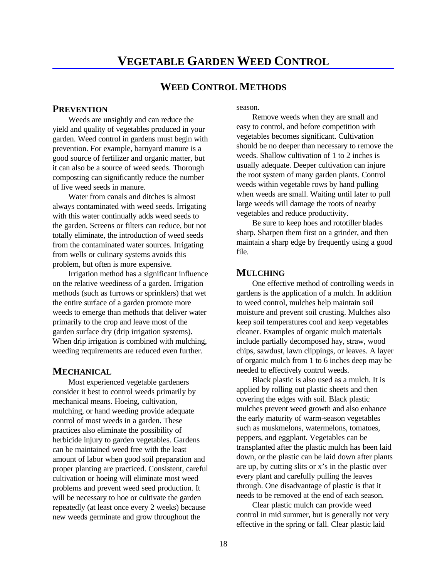#### **WEED CONTROL METHODS**

#### **PREVENTION**

Weeds are unsightly and can reduce the yield and quality of vegetables produced in your garden. Weed control in gardens must begin with prevention. For example, barnyard manure is a good source of fertilizer and organic matter, but it can also be a source of weed seeds. Thorough composting can significantly reduce the number of live weed seeds in manure.

Water from canals and ditches is almost always contaminated with weed seeds. Irrigating with this water continually adds weed seeds to the garden. Screens or filters can reduce, but not totally eliminate, the introduction of weed seeds from the contaminated water sources. Irrigating from wells or culinary systems avoids this problem, but often is more expensive.

Irrigation method has a significant influence on the relative weediness of a garden. Irrigation One effective method of controlling weeds in methods (such as furrows or sprinklers) that wet gardens is the application of a mulch. In addition the entire surface of a garden promote more to weed control, mulches help maintain soil weeds to emerge than methods that deliver water moisture and prevent soil crusting. Mulches also primarily to the crop and leave most of the keep soil temperatures cool and keep vegetables garden surface dry (drip irrigation systems). cleaner. Examples of organic mulch materials When drip irrigation is combined with mulching, include partially decomposed hay, straw, wood

#### **MECHANICAL**

Most experienced vegetable gardeners consider it best to control weeds primarily by mechanical means. Hoeing, cultivation, mulching, or hand weeding provide adequate control of most weeds in a garden. These practices also eliminate the possibility of herbicide injury to garden vegetables. Gardens can be maintained weed free with the least amount of labor when good soil preparation and proper planting are practiced. Consistent, careful cultivation or hoeing will eliminate most weed problems and prevent weed seed production. It will be necessary to hoe or cultivate the garden repeatedly (at least once every 2 weeks) because new weeds germinate and grow throughout the

season.

Remove weeds when they are small and easy to control, and before competition with vegetables becomes significant. Cultivation should be no deeper than necessary to remove the weeds. Shallow cultivation of 1 to 2 inches is usually adequate. Deeper cultivation can injure the root system of many garden plants. Control weeds within vegetable rows by hand pulling when weeds are small. Waiting until later to pull large weeds will damage the roots of nearby vegetables and reduce productivity.

Be sure to keep hoes and rototiller blades sharp. Sharpen them first on a grinder, and then maintain a sharp edge by frequently using a good file.

#### **MULCHING**

weeding requirements are reduced even further. chips, sawdust, lawn clippings, or leaves. A layer of organic mulch from 1 to 6 inches deep may be needed to effectively control weeds.

> Black plastic is also used as a mulch. It is applied by rolling out plastic sheets and then covering the edges with soil. Black plastic mulches prevent weed growth and also enhance the early maturity of warm-season vegetables such as muskmelons, watermelons, tomatoes, peppers, and eggplant. Vegetables can be transplanted after the plastic mulch has been laid down, or the plastic can be laid down after plants are up, by cutting slits or x's in the plastic over every plant and carefully pulling the leaves through. One disadvantage of plastic is that it needs to be removed at the end of each season.

Clear plastic mulch can provide weed control in mid summer, but is generally not very effective in the spring or fall. Clear plastic laid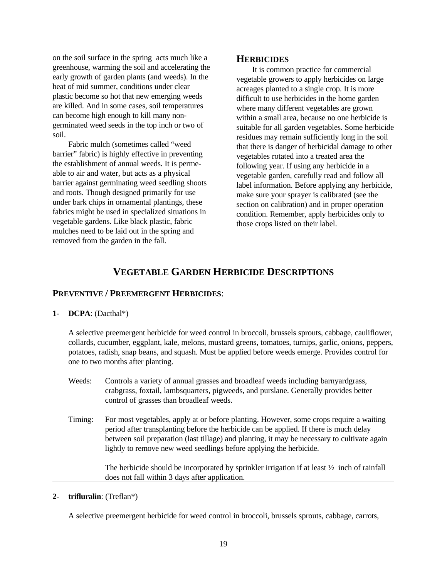on the soil surface in the spring acts much like a greenhouse, warming the soil and accelerating the early growth of garden plants (and weeds). In the heat of mid summer, conditions under clear plastic become so hot that new emerging weeds are killed. And in some cases, soil temperatures can become high enough to kill many nongerminated weed seeds in the top inch or two of soil.

Fabric mulch (sometimes called "weed barrier" fabric) is highly effective in preventing the establishment of annual weeds. It is permeable to air and water, but acts as a physical barrier against germinating weed seedling shoots and roots. Though designed primarily for use under bark chips in ornamental plantings, these fabrics might be used in specialized situations in vegetable gardens. Like black plastic, fabric mulches need to be laid out in the spring and removed from the garden in the fall.

#### **HERBICIDES**

It is common practice for commercial vegetable growers to apply herbicides on large acreages planted to a single crop. It is more difficult to use herbicides in the home garden where many different vegetables are grown within a small area, because no one herbicide is suitable for all garden vegetables. Some herbicide residues may remain sufficiently long in the soil that there is danger of herbicidal damage to other vegetables rotated into a treated area the following year. If using any herbicide in a vegetable garden, carefully read and follow all label information. Before applying any herbicide, make sure your sprayer is calibrated (see the section on calibration) and in proper operation condition. Remember, apply herbicides only to those crops listed on their label.

### **VEGETABLE GARDEN HERBICIDE DESCRIPTIONS**

#### **PREVENTIVE / PREEMERGENT HERBICIDES**:

#### **1- DCPA**: (Dacthal\*)

 A selective preemergent herbicide for weed control in broccoli, brussels sprouts, cabbage, cauliflower, collards, cucumber, eggplant, kale, melons, mustard greens, tomatoes, turnips, garlic, onions, peppers, potatoes, radish, snap beans, and squash. Must be applied before weeds emerge. Provides control for one to two months after planting.

- Weeds: Controls a variety of annual grasses and broadleaf weeds including barnyardgrass, crabgrass, foxtail, lambsquarters, pigweeds, and purslane. Generally provides better control of grasses than broadleaf weeds.
- Timing: For most vegetables, apply at or before planting. However, some crops require a waiting period after transplanting before the herbicide can be applied. If there is much delay between soil preparation (last tillage) and planting, it may be necessary to cultivate again lightly to remove new weed seedlings before applying the herbicide.

The herbicide should be incorporated by sprinkler irrigation if at least  $\frac{1}{2}$  inch of rainfall does not fall within 3 days after application.

#### **2- trifluralin**: (Treflan\*)

A selective preemergent herbicide for weed control in broccoli, brussels sprouts, cabbage, carrots,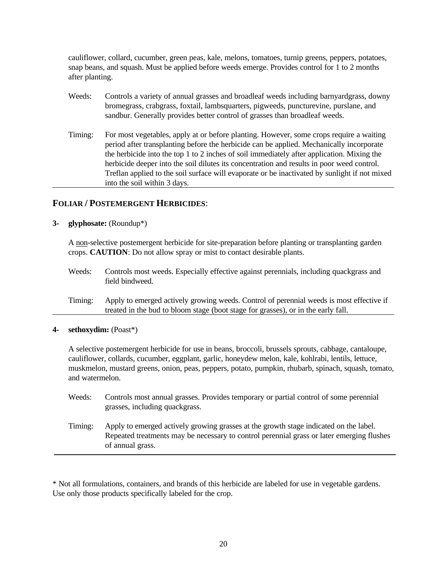cauliflower, collard, cucumber, green peas, kale, melons, tomatoes, turnip greens, peppers, potatoes, snap beans, and squash. Must be applied before weeds emerge. Provides control for 1 to 2 months after planting.

- Weeds: Controls a variety of annual grasses and broadleaf weeds including barnyardgrass, downy bromegrass, crabgrass, foxtail, lambsquarters, pigweeds, puncturevine, purslane, and sandbur. Generally provides better control of grasses than broadleaf weeds.
- Timing: For most vegetables, apply at or before planting. However, some crops require a waiting period after transplanting before the herbicide can be applied. Mechanically incorporate the herbicide into the top 1 to 2 inches of soil immediately after application. Mixing the herbicide deeper into the soil dilutes its concentration and results in poor weed control. Treflan applied to the soil surface will evaporate or be inactivated by sunlight if not mixed into the soil within 3 days.

#### **FOLIAR / POSTEMERGENT HERBICIDES**:

**3- glyphosate:** (Roundup\*)

 A non-selective postemergent herbicide for site-preparation before planting or transplanting garden crops. **CAUTION**: Do not allow spray or mist to contact desirable plants.

- Weeds: Controls most weeds. Especially effective against perennials, including quackgrass and field bindweed.
- Timing: Apply to emerged actively growing weeds. Control of perennial weeds is most effective if treated in the bud to bloom stage (boot stage for grasses), or in the early fall.
- **4- sethoxydim:** (Poast\*)

 A selective postemergent herbicide for use in beans, broccoli, brussels sprouts, cabbage, cantaloupe, cauliflower, collards, cucumber, eggplant, garlic, honeydew melon, kale, kohlrabi, lentils, lettuce, muskmelon, mustard greens, onion, peas, peppers, potato, pumpkin, rhubarb, spinach, squash, tomato, and watermelon.

- Weeds: Controls most annual grasses. Provides temporary or partial control of some perennial grasses, including quackgrass.
- Timing: Apply to emerged actively growing grasses at the growth stage indicated on the label. Repeated treatments may be necessary to control perennial grass or later emerging flushes of annual grass.

\* Not all formulations, containers, and brands of this herbicide are labeled for use in vegetable gardens. Use only those products specifically labeled for the crop.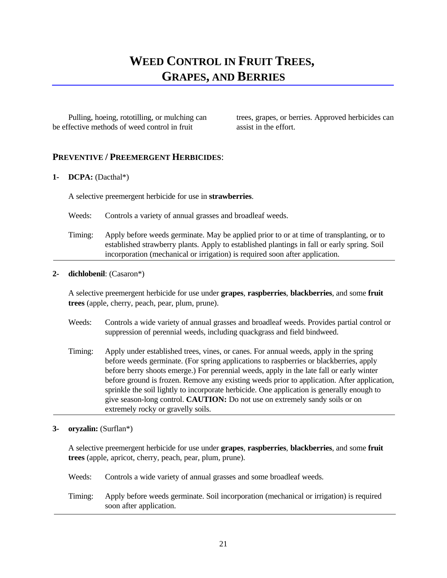## **WEED CONTROL IN FRUIT TREES, GRAPES, AND BERRIES**

be effective methods of weed control in fruit assist in the effort.

Pulling, hoeing, rototilling, or mulching can trees, grapes, or berries. Approved herbicides can

#### **PREVENTIVE / PREEMERGENT HERBICIDES**:

#### **1- DCPA:** (Dacthal\*)

A selective preemergent herbicide for use in **strawberries**.

- Weeds: Controls a variety of annual grasses and broadleaf weeds.
- Timing: Apply before weeds germinate. May be applied prior to or at time of transplanting, or to established strawberry plants. Apply to established plantings in fall or early spring. Soil incorporation (mechanical or irrigation) is required soon after application.

#### **2- dichlobenil**: (Casaron\*)

 A selective preemergent herbicide for use under **grapes**, **raspberries**, **blackberries**, and some **fruit trees** (apple, cherry, peach, pear, plum, prune).

- Weeds: Controls a wide variety of annual grasses and broadleaf weeds. Provides partial control or suppression of perennial weeds, including quackgrass and field bindweed.
- Timing: Apply under established trees, vines, or canes. For annual weeds, apply in the spring before weeds germinate. (For spring applications to raspberries or blackberries, apply before berry shoots emerge.) For perennial weeds, apply in the late fall or early winter before ground is frozen. Remove any existing weeds prior to application. After application, sprinkle the soil lightly to incorporate herbicide. One application is generally enough to give season-long control. **CAUTION:** Do not use on extremely sandy soils or on extremely rocky or gravelly soils.

#### **3- oryzalin:** (Surflan\*)

 A selective preemergent herbicide for use under **grapes**, **raspberries**, **blackberries**, and some **fruit trees** (apple, apricot, cherry, peach, pear, plum, prune).

Weeds: Controls a wide variety of annual grasses and some broadleaf weeds.

Timing: Apply before weeds germinate. Soil incorporation (mechanical or irrigation) is required soon after application.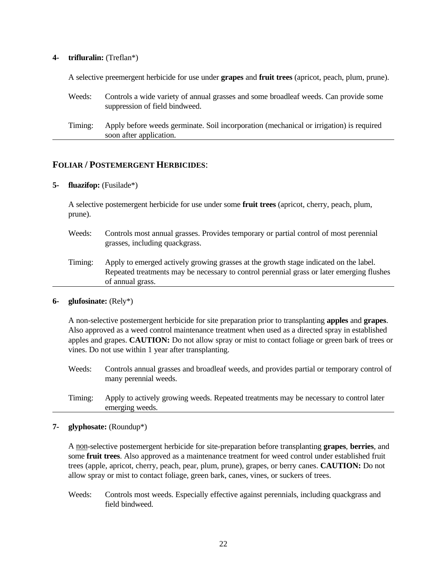#### **4- trifluralin:** (Treflan\*)

A selective preemergent herbicide for use under **grapes** and **fruit trees** (apricot, peach, plum, prune).

| Weeds:  | Controls a wide variety of annual grasses and some broadleaf weeds. Can provide some<br>suppression of field bindweed. |
|---------|------------------------------------------------------------------------------------------------------------------------|
| Timing: | Apply before weeds germinate. Soil incorporation (mechanical or irrigation) is required<br>soon after application.     |

#### **FOLIAR / POSTEMERGENT HERBICIDES**:

#### **5- fluazifop:** (Fusilade\*)

 A selective postemergent herbicide for use under some **fruit trees** (apricot, cherry, peach, plum, prune).

- Weeds: Controls most annual grasses. Provides temporary or partial control of most perennial grasses, including quackgrass.
- Timing: Apply to emerged actively growing grasses at the growth stage indicated on the label. Repeated treatments may be necessary to control perennial grass or later emerging flushes of annual grass.

#### **6- glufosinate:** (Rely\*)

A non-selective postemergent herbicide for site preparation prior to transplanting **apples** and **grapes**. Also approved as a weed control maintenance treatment when used as a directed spray in established apples and grapes. **CAUTION:** Do not allow spray or mist to contact foliage or green bark of trees or vines. Do not use within 1 year after transplanting.

- Weeds: Controls annual grasses and broadleaf weeds, and provides partial or temporary control of many perennial weeds.
- Timing: Apply to actively growing weeds. Repeated treatments may be necessary to control later emerging weeds.

#### **7- glyphosate:** (Roundup\*)

 A non-selective postemergent herbicide for site-preparation before transplanting **grapes**, **berries**, and some **fruit trees**. Also approved as a maintenance treatment for weed control under established fruit trees (apple, apricot, cherry, peach, pear, plum, prune), grapes, or berry canes. **CAUTION:** Do not allow spray or mist to contact foliage, green bark, canes, vines, or suckers of trees.

Weeds: Controls most weeds. Especially effective against perennials, including quackgrass and field bindweed.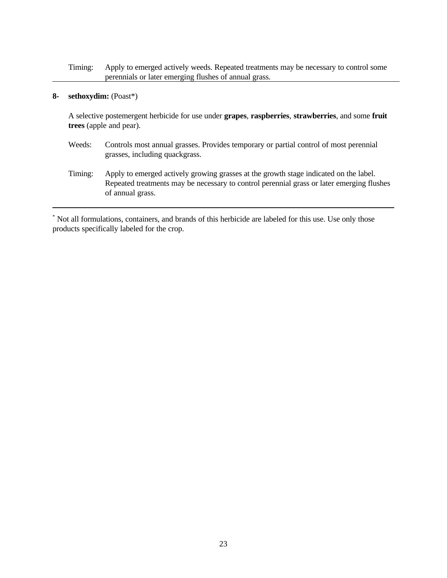Timing: Apply to emerged actively weeds. Repeated treatments may be necessary to control some perennials or later emerging flushes of annual grass.

#### **8- sethoxydim:** (Poast\*)

 A selective postemergent herbicide for use under **grapes**, **raspberries**, **strawberries**, and some **fruit trees** (apple and pear).

- Weeds: Controls most annual grasses. Provides temporary or partial control of most perennial grasses, including quackgrass.
- Timing: Apply to emerged actively growing grasses at the growth stage indicated on the label. Repeated treatments may be necessary to control perennial grass or later emerging flushes of annual grass.

 Not all formulations, containers, and brands of this herbicide are labeled for this use. Use only those \* products specifically labeled for the crop.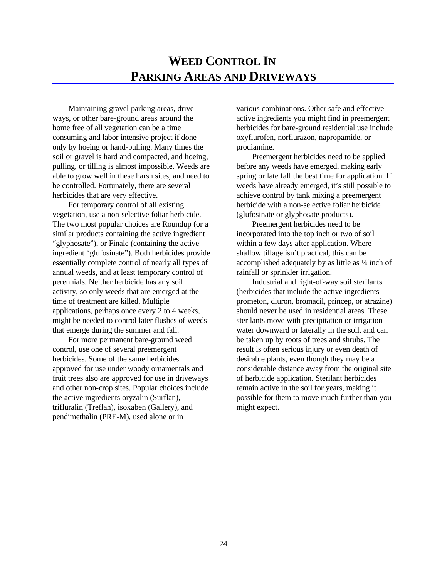ways, or other bare-ground areas around the active ingredients you might find in preemergent home free of all vegetation can be a time herbicides for bare-ground residential use include consuming and labor intensive project if done oxyflurofen, norflurazon, napropamide, or only by hoeing or hand-pulling. Many times the prodiamine. soil or gravel is hard and compacted, and hoeing, Preemergent herbicides need to be applied pulling, or tilling is almost impossible. Weeds are before any weeds have emerged, making early able to grow well in these harsh sites, and need to spring or late fall the best time for application. If be controlled. Fortunately, there are several weeds have already emerged, it's still possible to herbicides that are very effective. And achieve control by tank mixing a preemergent

vegetation, use a non-selective foliar herbicide. (glufosinate or glyphosate products). The two most popular choices are Roundup (or a Preemergent herbicides need to be similar products containing the active ingredient incorporated into the top inch or two of soil "glyphosate"), or Finale (containing the active within a few days after application. Where ingredient "glufosinate"). Both herbicides provide shallow tillage isn't practical, this can be essentially complete control of nearly all types of accomplished adequately by as little as  $\frac{1}{4}$  inch of annual weeds, and at least temporary control of rainfall or sprinkler irrigation. perennials. Neither herbicide has any soil Industrial and right-of-way soil sterilants activity, so only weeds that are emerged at the (herbicides that include the active ingredients time of treatment are killed. Multiple prometon, diuron, bromacil, princep, or atrazine) applications, perhaps once every 2 to 4 weeks, should never be used in residential areas. These might be needed to control later flushes of weeds sterilants move with precipitation or irrigation that emerge during the summer and fall. water downward or laterally in the soil, and can

control, use one of several preemergent result is often serious injury or even death of herbicides. Some of the same herbicides desirable plants, even though they may be a approved for use under woody ornamentals and considerable distance away from the original site fruit trees also are approved for use in driveways of herbicide application. Sterilant herbicides and other non-crop sites. Popular choices include remain active in the soil for years, making it the active ingredients oryzalin (Surflan), possible for them to move much further than you trifluralin (Treflan), isoxaben (Gallery), and might expect. pendimethalin (PRE-M), used alone or in

Maintaining gravel parking areas, drive- various combinations. Other safe and effective

For temporary control of all existing herbicide with a non-selective foliar herbicide

For more permanent bare-ground weed be taken up by roots of trees and shrubs. The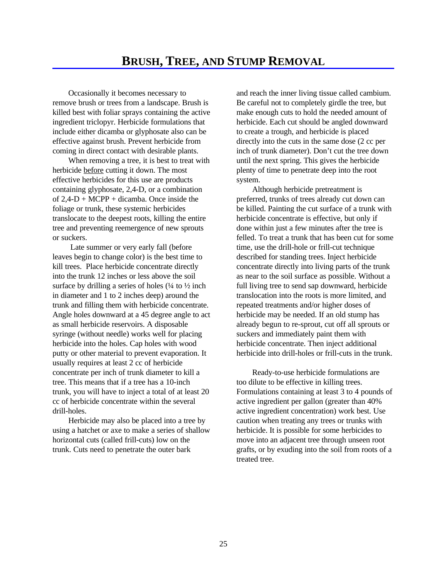remove brush or trees from a landscape. Brush is Be careful not to completely girdle the tree, but killed best with foliar sprays containing the active make enough cuts to hold the needed amount of ingredient triclopyr. Herbicide formulations that herbicide. Each cut should be angled downward include either dicamba or glyphosate also can be to create a trough, and herbicide is placed effective against brush. Prevent herbicide from directly into the cuts in the same dose (2 cc per coming in direct contact with desirable plants. inch of trunk diameter). Don't cut the tree down

herbicide before cutting it down. The most plenty of time to penetrate deep into the root effective herbicides for this use are products system. containing glyphosate, 2,4-D, or a combination Although herbicide pretreatment is of  $2.4-D + MCPP +$  dicamba. Once inside the preferred, trunks of trees already cut down can foliage or trunk, these systemic herbicides be killed. Painting the cut surface of a trunk with translocate to the deepest roots, killing the entire herbicide concentrate is effective, but only if tree and preventing reemergence of new sprouts done within just a few minutes after the tree is

Late summer or very early fall (before time, use the drill-hole or frill-cut technique leaves begin to change color) is the best time to described for standing trees. Inject herbicide kill trees. Place herbicide concentrate directly concentrate directly into living parts of the trunk into the trunk 12 inches or less above the soil as near to the soil surface as possible. Without a surface by drilling a series of holes  $(½ \text{ inch}$  full living tree to send sap downward, herbicide in diameter and 1 to 2 inches deep) around the translocation into the roots is more limited, and trunk and filling them with herbicide concentrate. repeated treatments and/or higher doses of Angle holes downward at a 45 degree angle to act herbicide may be needed. If an old stump has as small herbicide reservoirs. A disposable already begun to re-sprout, cut off all sprouts or syringe (without needle) works well for placing suckers and immediately paint them with herbicide into the holes. Cap holes with wood herbicide concentrate. Then inject additional putty or other material to prevent evaporation. It herbicide into drill-holes or frill-cuts in the trunk. usually requires at least 2 cc of herbicide concentrate per inch of trunk diameter to kill a Ready-to-use herbicide formulations are tree. This means that if a tree has a 10-inch too dilute to be effective in killing trees. trunk, you will have to inject a total of at least 20 Formulations containing at least 3 to 4 pounds of cc of herbicide concentrate within the several active ingredient per gallon (greater than 40% drill-holes. active ingredient concentration) work best. Use

using a hatchet or axe to make a series of shallow herbicide. It is possible for some herbicides to horizontal cuts (called frill-cuts) low on the move into an adjacent tree through unseen root trunk. Cuts need to penetrate the outer bark grafts, or by exuding into the soil from roots of a

Occasionally it becomes necessary to and reach the inner living tissue called cambium. When removing a tree, it is best to treat with until the next spring. This gives the herbicide

or suckers. felled. To treat a trunk that has been cut for some

Herbicide may also be placed into a tree by caution when treating any trees or trunks with treated tree.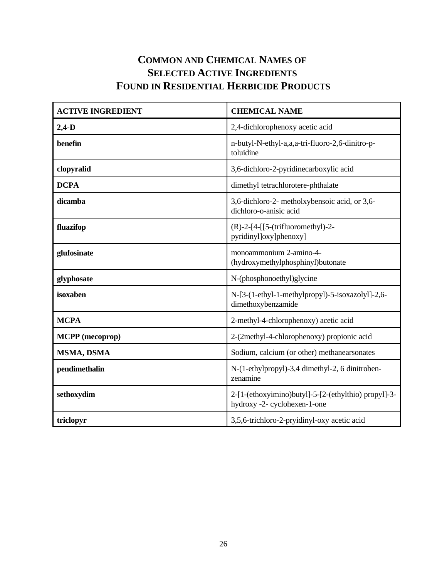### **COMMON AND CHEMICAL NAMES OF SELECTED ACTIVE INGREDIENTS FOUND IN RESIDENTIAL HERBICIDE PRODUCTS**

| <b>ACTIVE INGREDIENT</b> | <b>CHEMICAL NAME</b>                                                                 |
|--------------------------|--------------------------------------------------------------------------------------|
| $2,4-D$                  | 2,4-dichlorophenoxy acetic acid                                                      |
| benefin                  | n-butyl-N-ethyl-a,a,a-tri-fluoro-2,6-dinitro-p-<br>toluidine                         |
| clopyralid               | 3,6-dichloro-2-pyridinecarboxylic acid                                               |
| <b>DCPA</b>              | dimethyl tetrachlorotere-phthalate                                                   |
| dicamba                  | 3,6-dichloro-2- metholxybensoic acid, or 3,6-<br>dichloro-o-anisic acid              |
| fluazifop                | $(R)-2-[4-[[5-(\text{trifluorometry}])-2-$<br>pyridinyl]oxy]phenoxy]                 |
| glufosinate              | monoammonium 2-amino-4-<br>(hydroxymethylphosphinyl)butonate                         |
| glyphosate               | N-(phosphonoethyl)glycine                                                            |
| isoxaben                 | N-[3-(1-ethyl-1-methylpropyl)-5-isoxazolyl]-2,6-<br>dimethoxybenzamide               |
| <b>MCPA</b>              | 2-methyl-4-chlorophenoxy) acetic acid                                                |
| <b>MCPP</b> (mecoprop)   | 2-(2methyl-4-chlorophenoxy) propionic acid                                           |
| MSMA, DSMA               | Sodium, calcium (or other) methanearsonates                                          |
| pendimethalin            | N-(1-ethylpropyl)-3,4 dimethyl-2, 6 dinitroben-<br>zenamine                          |
| sethoxydim               | 2-[1-(ethoxyimino)butyl]-5-[2-(ethylthio) propyl]-3-<br>hydroxy -2- cyclohexen-1-one |
| triclopyr                | 3,5,6-trichloro-2-pryidinyl-oxy acetic acid                                          |